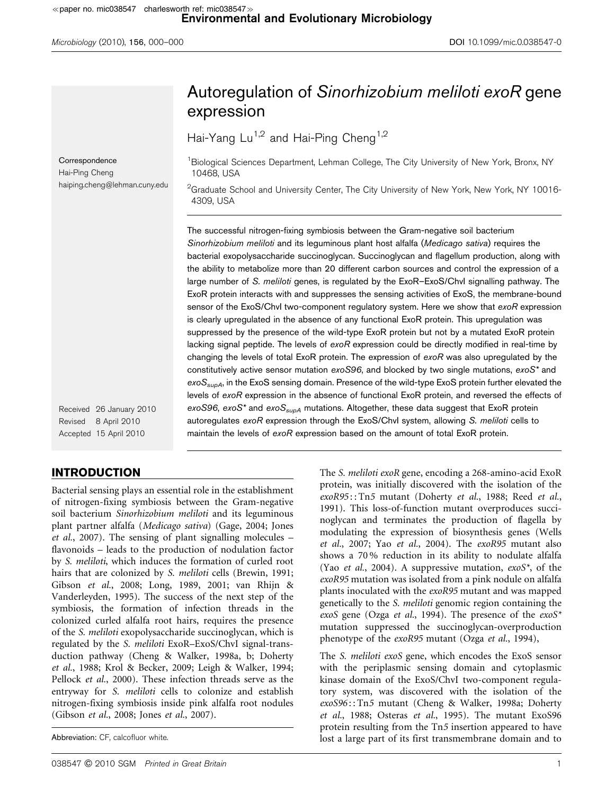|                                                                               | Autoregulation of Sinorhizobium meliloti exoR gene                                                                                                                                                                                                                                                                                                                                                                                                                                                                                                                                                                                                                                                                                                                                                                                                                                                                                                                                                                                                                                                                                                                                                                                                                                                                                                                                                                   |
|-------------------------------------------------------------------------------|----------------------------------------------------------------------------------------------------------------------------------------------------------------------------------------------------------------------------------------------------------------------------------------------------------------------------------------------------------------------------------------------------------------------------------------------------------------------------------------------------------------------------------------------------------------------------------------------------------------------------------------------------------------------------------------------------------------------------------------------------------------------------------------------------------------------------------------------------------------------------------------------------------------------------------------------------------------------------------------------------------------------------------------------------------------------------------------------------------------------------------------------------------------------------------------------------------------------------------------------------------------------------------------------------------------------------------------------------------------------------------------------------------------------|
|                                                                               | expression                                                                                                                                                                                                                                                                                                                                                                                                                                                                                                                                                                                                                                                                                                                                                                                                                                                                                                                                                                                                                                                                                                                                                                                                                                                                                                                                                                                                           |
|                                                                               | Hai-Yang Lu <sup>1,2</sup> and Hai-Ping Cheng <sup>1,2</sup>                                                                                                                                                                                                                                                                                                                                                                                                                                                                                                                                                                                                                                                                                                                                                                                                                                                                                                                                                                                                                                                                                                                                                                                                                                                                                                                                                         |
| Correspondence<br>Hai-Ping Cheng                                              | <sup>1</sup> Biological Sciences Department, Lehman College, The City University of New York, Bronx, NY<br>10468, USA                                                                                                                                                                                                                                                                                                                                                                                                                                                                                                                                                                                                                                                                                                                                                                                                                                                                                                                                                                                                                                                                                                                                                                                                                                                                                                |
| haiping.cheng@lehman.cuny.edu                                                 | <sup>2</sup> Graduate School and University Center, The City University of New York, New York, NY 10016-<br>4309, USA                                                                                                                                                                                                                                                                                                                                                                                                                                                                                                                                                                                                                                                                                                                                                                                                                                                                                                                                                                                                                                                                                                                                                                                                                                                                                                |
|                                                                               | The successful nitrogen-fixing symbiosis between the Gram-negative soil bacterium<br>Sinorhizobium meliloti and its leguminous plant host alfalfa (Medicago sativa) requires the<br>bacterial exopolysaccharide succinoglycan. Succinoglycan and flagellum production, along with<br>the ability to metabolize more than 20 different carbon sources and control the expression of a<br>large number of S. meliloti genes, is regulated by the ExoR-ExoS/Chvl signalling pathway. The<br>ExoR protein interacts with and suppresses the sensing activities of ExoS, the membrane-bound<br>sensor of the ExoS/ChvI two-component regulatory system. Here we show that exoR expression<br>is clearly upregulated in the absence of any functional ExoR protein. This upregulation was<br>suppressed by the presence of the wild-type ExoR protein but not by a mutated ExoR protein<br>lacking signal peptide. The levels of exoR expression could be directly modified in real-time by<br>changing the levels of total ExoR protein. The expression of $exoR$ was also upregulated by the<br>constitutively active sensor mutation $exoS96$ , and blocked by two single mutations, $exoS^*$ and<br>exoS <sub>supA</sub> , in the ExoS sensing domain. Presence of the wild-type ExoS protein further elevated the<br>levels of exoR expression in the absence of functional ExoR protein, and reversed the effects of |
| Received 26 January 2010<br>Revised<br>8 April 2010<br>Accepted 15 April 2010 | exoS96, exoS <sup>*</sup> and exoS <sub>supA</sub> mutations. Altogether, these data suggest that ExoR protein<br>autoregulates exoR expression through the ExoS/Chvl system, allowing S. meliloti cells to<br>maintain the levels of exoR expression based on the amount of total ExoR protein.                                                                                                                                                                                                                                                                                                                                                                                                                                                                                                                                                                                                                                                                                                                                                                                                                                                                                                                                                                                                                                                                                                                     |
|                                                                               |                                                                                                                                                                                                                                                                                                                                                                                                                                                                                                                                                                                                                                                                                                                                                                                                                                                                                                                                                                                                                                                                                                                                                                                                                                                                                                                                                                                                                      |

# INTRODUCTION

Bacterial sensing plays an essential role in the establishment of nitrogen-fixing symbiosis between the Gram-negative soil bacterium Sinorhizobium meliloti and its leguminous plant partner alfalfa (Medicago sativa) (Gage, 2004; Jones et al., 2007). The sensing of plant signalling molecules – flavonoids – leads to the production of nodulation factor by S. meliloti, which induces the formation of curled root hairs that are colonized by S. meliloti cells (Brewin, 1991; Gibson et al., 2008; Long, 1989, 2001; van Rhijn & Vanderleyden, 1995). The success of the next step of the symbiosis, the formation of infection threads in the colonized curled alfalfa root hairs, requires the presence of the S. meliloti exopolysaccharide succinoglycan, which is regulated by the S. meliloti ExoR–ExoS/ChvI signal-transduction pathway (Cheng & Walker, 1998a, b; Doherty et al., 1988; Krol & Becker, 2009; Leigh & Walker, 1994; Pellock et al., 2000). These infection threads serve as the entryway for S. meliloti cells to colonize and establish nitrogen-fixing symbiosis inside pink alfalfa root nodules (Gibson et al., 2008; Jones et al., 2007).

Abbreviation: CF, calcofluor white.

The S. meliloti exoR gene, encoding a 268-amino-acid ExoR protein, was initially discovered with the isolation of the exoR95:: Tn5 mutant (Doherty et al., 1988; Reed et al., 1991). This loss-of-function mutant overproduces succinoglycan and terminates the production of flagella by modulating the expression of biosynthesis genes (Wells et al., 2007; Yao et al., 2004). The exoR95 mutant also shows a 70 % reduction in its ability to nodulate alfalfa (Yao et al., 2004). A suppressive mutation,  $exoS^*$ , of the exoR95 mutation was isolated from a pink nodule on alfalfa plants inoculated with the exoR95 mutant and was mapped genetically to the S. meliloti genomic region containing the exoS gene (Ozga et al., 1994). The presence of the  $exoS^*$ mutation suppressed the succinoglycan-overproduction phenotype of the exoR95 mutant (Ozga et al., 1994),

The S. meliloti exoS gene, which encodes the ExoS sensor with the periplasmic sensing domain and cytoplasmic kinase domain of the ExoS/ChvI two-component regulatory system, was discovered with the isolation of the exoS96 : : Tn5 mutant (Cheng & Walker, 1998a; Doherty et al., 1988; Osteras et al., 1995). The mutant ExoS96 protein resulting from the Tn5 insertion appeared to have lost a large part of its first transmembrane domain and to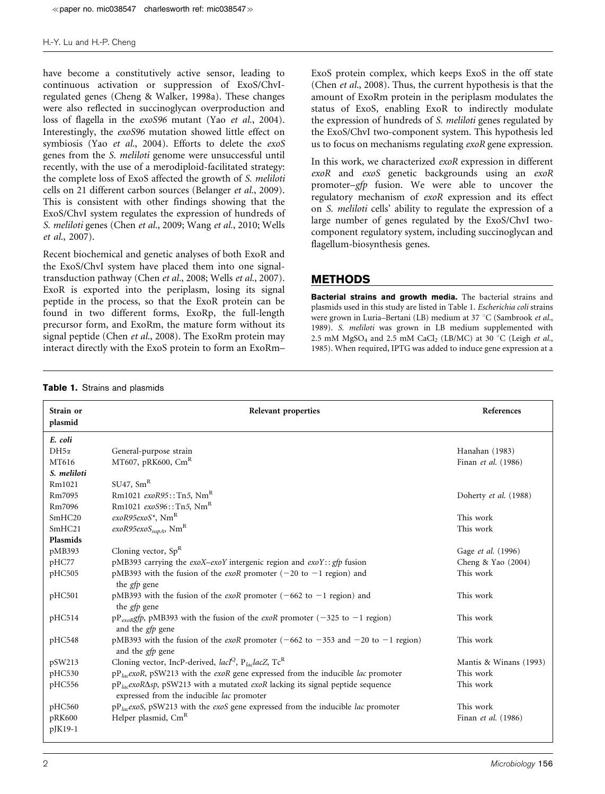have become a constitutively active sensor, leading to continuous activation or suppression of ExoS/ChvIregulated genes (Cheng & Walker, 1998a). These changes were also reflected in succinoglycan overproduction and loss of flagella in the exoS96 mutant (Yao et al., 2004). Interestingly, the exoS96 mutation showed little effect on symbiosis (Yao et al., 2004). Efforts to delete the exoS genes from the S. meliloti genome were unsuccessful until recently, with the use of a merodiploid-facilitated strategy: the complete loss of ExoS affected the growth of S. meliloti cells on 21 different carbon sources (Belanger et al., 2009). This is consistent with other findings showing that the ExoS/ChvI system regulates the expression of hundreds of S. meliloti genes (Chen et al., 2009; Wang et al., 2010; Wells et al., 2007).

Recent biochemical and genetic analyses of both ExoR and the ExoS/ChvI system have placed them into one signaltransduction pathway (Chen et al., 2008; Wells et al., 2007). ExoR is exported into the periplasm, losing its signal peptide in the process, so that the ExoR protein can be found in two different forms, ExoRp, the full-length precursor form, and ExoRm, the mature form without its signal peptide (Chen et al., 2008). The ExoRm protein may interact directly with the ExoS protein to form an ExoRm–

ExoS protein complex, which keeps ExoS in the off state (Chen et al., 2008). Thus, the current hypothesis is that the amount of ExoRm protein in the periplasm modulates the status of ExoS, enabling ExoR to indirectly modulate the expression of hundreds of S. meliloti genes regulated by the ExoS/ChvI two-component system. This hypothesis led us to focus on mechanisms regulating exoR gene expression.

In this work, we characterized exoR expression in different exoR and exoS genetic backgrounds using an exoR promoter–gfp fusion. We were able to uncover the regulatory mechanism of exoR expression and its effect on S. meliloti cells' ability to regulate the expression of a large number of genes regulated by the ExoS/ChvI twocomponent regulatory system, including succinoglycan and flagellum-biosynthesis genes.

# METHODS

Bacterial strains and growth media. The bacterial strains and plasmids used in this study are listed in Table 1. Escherichia coli strains were grown in Luria–Bertani (LB) medium at 37 °C (Sambrook et al., 1989). S. meliloti was grown in LB medium supplemented with 2.5 mM MgSO<sub>4</sub> and 2.5 mM CaCl<sub>2</sub> (LB/MC) at 30 °C (Leigh et al., 1985). When required, IPTG was added to induce gene expression at a

Table 1. Strains and plasmids

| Strain or          | Relevant properties                                                                                                                              | References             |
|--------------------|--------------------------------------------------------------------------------------------------------------------------------------------------|------------------------|
| plasmid            |                                                                                                                                                  |                        |
| E. coli            |                                                                                                                                                  |                        |
| $DH5\alpha$        | General-purpose strain                                                                                                                           | Hanahan (1983)         |
| MT616              | MT607, pRK600, $\text{Cm}^R$                                                                                                                     | Finan et al. (1986)    |
| S. meliloti        |                                                                                                                                                  |                        |
| Rm1021             | SU47, Sm <sup>R</sup>                                                                                                                            |                        |
| Rm7095             | Rm1021 $exoR95$ ::Tn5, Nm <sup>R</sup>                                                                                                           | Doherty et al. (1988)  |
| Rm7096             | Rm1021 $exoS96$ ::Tn5, Nm <sup>R</sup>                                                                                                           |                        |
| SmHC <sub>20</sub> | exoR95exoS <sup>*</sup> , Nm <sup>R</sup>                                                                                                        | This work              |
| SmHC21             | exoR95exoS <sub>supA</sub> , Nm <sup>R</sup>                                                                                                     | This work              |
| Plasmids           |                                                                                                                                                  |                        |
| pMB393             | Cloning vector, $Sp^R$                                                                                                                           | Gage et al. (1996)     |
| pHC77              | pMB393 carrying the exoX-exoY intergenic region and exoY: : gfp fusion                                                                           | Cheng & Yao (2004)     |
| pHC505             | pMB393 with the fusion of the <i>exoR</i> promoter $(-20 \text{ to } -1 \text{ region})$ and<br>the <i>gfp</i> gene                              | This work              |
| pHC501             | pMB393 with the fusion of the exoR promoter ( $-662$ to $-1$ region) and<br>the <i>gfp</i> gene                                                  | This work              |
| pHC514             | pP <sub>exoR</sub> gfp, pMB393 with the fusion of the exoR promoter (-325 to -1 region)<br>and the <i>gfp</i> gene                               | This work              |
| pHC548             | pMB393 with the fusion of the <i>exoR</i> promoter ( $-662$ to $-353$ and $-20$ to $-1$ region)<br>and the <i>gfp</i> gene                       | This work              |
| pSW213             | Cloning vector, IncP-derived, $lacIQ$ , P <sub>lac</sub> lacZ, Tc <sup>R</sup>                                                                   | Mantis & Winans (1993) |
| pHC530             | $pP_{lac}$ exoR, pSW213 with the exoR gene expressed from the inducible lac promoter                                                             | This work              |
| pHC556             | pP <sub>lac</sub> exoR $\Delta sp$ , pSW213 with a mutated exoR lacking its signal peptide sequence<br>expressed from the inducible lac promoter | This work              |
| pHC560             | $pP_{lac}$ exoS, pSW213 with the exoS gene expressed from the inducible lac promoter                                                             | This work              |
| pRK600             | Helper plasmid, Cm <sup>R</sup>                                                                                                                  | Finan et al. (1986)    |
| pJK19-1            |                                                                                                                                                  |                        |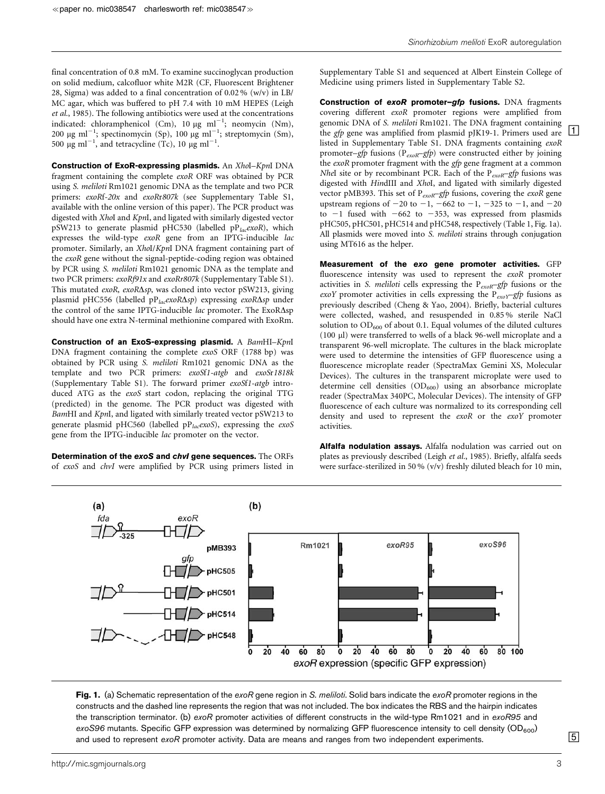final concentration of 0.8 mM. To examine succinoglycan production on solid medium, calcofluor white M2R (CF, Fluorescent Brightener 28, Sigma) was added to a final concentration of 0.02 % (w/v) in LB/ MC agar, which was buffered to pH 7.4 with 10 mM HEPES (Leigh et al., 1985). The following antibiotics were used at the concentrations indicated: chloramphenicol (Cm), 10  $\mu$ g ml<sup>-1</sup>; neomycin (Nm), 200 µg ml<sup>-1</sup>; spectinomycin (Sp), 100 µg ml<sup>-1</sup>; streptomycin (Sm), 500  $\mu$ g ml<sup>-1</sup>, and tetracycline (Tc), 10  $\mu$ g ml<sup>-1</sup>.

Construction of ExoR-expressing plasmids. An XhoI-KpnI DNA fragment containing the complete exoR ORF was obtained by PCR using S. meliloti Rm1021 genomic DNA as the template and two PCR primers: exoRf-20x and exoRr807k (see Supplementary Table S1, available with the online version of this paper). The PCR product was digested with XhoI and KpnI, and ligated with similarly digested vector pSW213 to generate plasmid pHC530 (labelled  $pP_{lac}$ exoR), which expresses the wild-type exoR gene from an IPTG-inducible lac promoter. Similarly, an XhoI/KpnI DNA fragment containing part of the exoR gene without the signal-peptide-coding region was obtained by PCR using S. meliloti Rm1021 genomic DNA as the template and two PCR primers: exoRf91x and exoRr807k (Supplementary Table S1). This mutated exoR, exoR $\Delta sp$ , was cloned into vector pSW213, giving plasmid pHC556 (labelled pP<sub>lac</sub>exoR $\Delta sp$ ) expressing exoR $\Delta sp$  under the control of the same IPTG-inducible  $lac$  promoter. The ExoR $\Delta$ sp should have one extra N-terminal methionine compared with ExoRm.

Construction of an ExoS-expressing plasmid. A BamHI-KpnI DNA fragment containing the complete exoS ORF (1788 bp) was obtained by PCR using S. meliloti Rm1021 genomic DNA as the template and two PCR primers: exoSf1-atgb and exoSr1818k (Supplementary Table S1). The forward primer exoSf1-atgb introduced ATG as the exoS start codon, replacing the original TTG (predicted) in the genome. The PCR product was digested with BamHI and KpnI, and ligated with similarly treated vector pSW213 to generate plasmid pHC560 (labelled p $P_{lac}$ exoS), expressing the exoS gene from the IPTG-inducible lac promoter on the vector.

Determination of the exoS and chvl gene sequences. The ORFs of exoS and chvI were amplified by PCR using primers listed in Supplementary Table S1 and sequenced at Albert Einstein College of Medicine using primers listed in Supplementary Table S2.

Construction of exoR promoter-gfp fusions. DNA fragments covering different exoR promoter regions were amplified from genomic DNA of S. meliloti Rm1021. The DNA fragment containing the *gfp* gene was amplified from plasmid pJK19-1. Primers used are  $\boxed{1}$ listed in Supplementary Table S1. DNA fragments containing exoR promoter–gfp fusions ( $P_{exoR}$ –gfp) were constructed either by joining the exoR promoter fragment with the gfp gene fragment at a common *NheI* site or by recombinant PCR. Each of the  $P_{exoR}$ –gfp fusions was digested with HindIII and XhoI, and ligated with similarly digested vector pMB393. This set of  $P_{exoR}$ -gfp fusions, covering the exoR gene upstream regions of  $-20$  to  $-1$ ,  $-662$  to  $-1$ ,  $-325$  to  $-1$ , and  $-20$ to  $-1$  fused with  $-662$  to  $-353$ , was expressed from plasmids pHC505, pHC501, pHC514 and pHC548, respectively (Table 1, Fig. 1a). All plasmids were moved into S. meliloti strains through conjugation using MT616 as the helper.

Measurement of the exo gene promoter activities. GFP fluorescence intensity was used to represent the exoR promoter activities in S. meliloti cells expressing the  $P_{exoR}-gfp$  fusions or the exoY promoter activities in cells expressing the  $P_{exoY}-gfp$  fusions as previously described (Cheng & Yao, 2004). Briefly, bacterial cultures were collected, washed, and resuspended in 0.85 % sterile NaCl solution to  $OD_{600}$  of about 0.1. Equal volumes of the diluted cultures (100 ml) were transferred to wells of a black 96-well microplate and a transparent 96-well microplate. The cultures in the black microplate were used to determine the intensities of GFP fluorescence using a fluorescence microplate reader (SpectraMax Gemini XS, Molecular Devices). The cultures in the transparent microplate were used to determine cell densities  $(OD_{600})$  using an absorbance microplate reader (SpectraMax 340PC, Molecular Devices). The intensity of GFP fluorescence of each culture was normalized to its corresponding cell density and used to represent the exoR or the exoY promoter activities.

Alfalfa nodulation assays. Alfalfa nodulation was carried out on plates as previously described (Leigh et al., 1985). Briefly, alfalfa seeds were surface-sterilized in 50 % (v/v) freshly diluted bleach for 10 min,



Fig. 1. (a) Schematic representation of the exoR gene region in S. meliloti. Solid bars indicate the exoR promoter regions in the constructs and the dashed line represents the region that was not included. The box indicates the RBS and the hairpin indicates the transcription terminator. (b) exoR promoter activities of different constructs in the wild-type Rm1021 and in exoR95 and  $exoS96$  mutants. Specific GFP expression was determined by normalizing GFP fluorescence intensity to cell density  $OD_{600}$ ) and used to represent exoR promoter activity. Data are means and ranges from two independent experiments.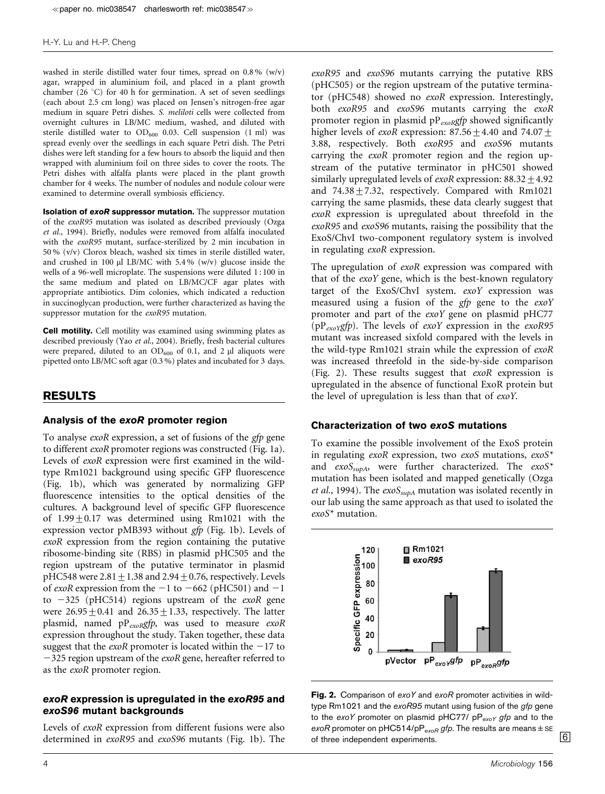washed in sterile distilled water four times, spread on 0.8 % (w/v) agar, wrapped in aluminium foil, and placed in a plant growth chamber (26 °C) for 40 h for germination. A set of seven seedlings (each about 2.5 cm long) was placed on Jensen's nitrogen-free agar medium in square Petri dishes. S. meliloti cells were collected from overnight cultures in LB/MC medium, washed, and diluted with sterile distilled water to  $OD_{600}$  0.03. Cell suspension (1 ml) was spread evenly over the seedlings in each square Petri dish. The Petri dishes were left standing for a few hours to absorb the liquid and then wrapped with aluminium foil on three sides to cover the roots. The Petri dishes with alfalfa plants were placed in the plant growth chamber for 4 weeks. The number of nodules and nodule colour were examined to determine overall symbiosis efficiency.

**Isolation of exoR suppressor mutation.** The suppressor mutation of the exoR95 mutation was isolated as described previously (Ozga et al., 1994). Briefly, nodules were removed from alfalfa inoculated with the exoR95 mutant, surface-sterilized by 2 min incubation in 50 % (v/v) Clorox bleach, washed six times in sterile distilled water, and crushed in 100  $\mu$  LB/MC with 5.4% (w/v) glucose inside the wells of a 96-well microplate. The suspensions were diluted 1 : 100 in the same medium and plated on LB/MC/CF agar plates with appropriate antibiotics. Dim colonies, which indicated a reduction in succinoglycan production, were further characterized as having the suppressor mutation for the *exoR95* mutation.

Cell motility. Cell motility was examined using swimming plates as described previously (Yao et al., 2004). Briefly, fresh bacterial cultures were prepared, diluted to an  $OD_{600}$  of 0.1, and 2  $\mu$ l aliquots were pipetted onto LB/MC soft agar (0.3 %) plates and incubated for 3 days.

### RESULTS

## Analysis of the exoR promoter region

To analyse exoR expression, a set of fusions of the gfp gene to different exoR promoter regions was constructed (Fig. 1a). Levels of exoR expression were first examined in the wildtype Rm1021 background using specific GFP fluorescence (Fig. 1b), which was generated by normalizing GFP fluorescence intensities to the optical densities of the cultures. A background level of specific GFP fluorescence of  $1.99 \pm 0.17$  was determined using Rm1021 with the expression vector pMB393 without gfp (Fig. 1b). Levels of exoR expression from the region containing the putative ribosome-binding site (RBS) in plasmid pHC505 and the region upstream of the putative terminator in plasmid pHC548 were  $2.81 \pm 1.38$  and  $2.94 \pm 0.76$ , respectively. Levels of exoR expression from the  $-1$  to  $-662$  (pHC501) and  $-1$ to  $-325$  (pHC514) regions upstream of the *exoR* gene were  $26.95 \pm 0.41$  and  $26.35 \pm 1.33$ , respectively. The latter plasmid, named  $pP_{exoR}gfp$ , was used to measure  $exoR$ expression throughout the study. Taken together, these data suggest that the *exoR* promoter is located within the  $-17$  to  $-325$  region upstream of the *exoR* gene, hereafter referred to as the exoR promoter region.

## exoR expression is upregulated in the exoR95 and exoS96 mutant backgrounds

Levels of exoR expression from different fusions were also determined in exoR95 and exoS96 mutants (Fig. 1b). The

exoR95 and exoS96 mutants carrying the putative RBS (pHC505) or the region upstream of the putative terminator (pHC548) showed no exoR expression. Interestingly, both exoR95 and exoS96 mutants carrying the exoR promoter region in plasmid  $pP_{exoR}gfp$  showed significantly higher levels of *exoR* expression:  $87.56 \pm 4.40$  and  $74.07 \pm$ 3.88, respectively. Both exoR95 and exoS96 mutants carrying the exoR promoter region and the region upstream of the putative terminator in pHC501 showed similarly upregulated levels of  $exoR$  expression:  $88.32 + 4.92$ and  $74.38 \pm 7.32$ , respectively. Compared with Rm1021 carrying the same plasmids, these data clearly suggest that exoR expression is upregulated about threefold in the exoR95 and exoS96 mutants, raising the possibility that the ExoS/ChvI two-component regulatory system is involved in regulating exoR expression.

The upregulation of exoR expression was compared with that of the exoY gene, which is the best-known regulatory target of the ExoS/ChvI system. exoY expression was measured using a fusion of the gfp gene to the exoY promoter and part of the exoY gene on plasmid pHC77 ( $pP_{exoY}$ gfp). The levels of exoY expression in the exoR95 mutant was increased sixfold compared with the levels in the wild-type Rm1021 strain while the expression of exoR was increased threefold in the side-by-side comparison (Fig. 2). These results suggest that exoR expression is upregulated in the absence of functional ExoR protein but the level of upregulation is less than that of exoY.

#### Characterization of two exoS mutations

To examine the possible involvement of the ExoS protein in regulating exoR expression, two exoS mutations,  $exoS^*$ and  $exoS_{supA}$ , were further characterized. The  $exoS^*$ mutation has been isolated and mapped genetically (Ozga et al., 1994). The  $exoS<sub>supA</sub>$  mutation was isolated recently in our lab using the same approach as that used to isolated the exoS\* mutation.



Fig. 2. Comparison of exoY and exoR promoter activities in wildtype Rm1021 and the  $exoR95$  mutant using fusion of the  $gfp$  gene to the exoY promoter on plasmid pHC77/  $pP_{exoY}$  gfp and to the *exoR* promoter on pHC514/pP<sub>exoR</sub> gfp. The results are means  $\pm$  SE **6**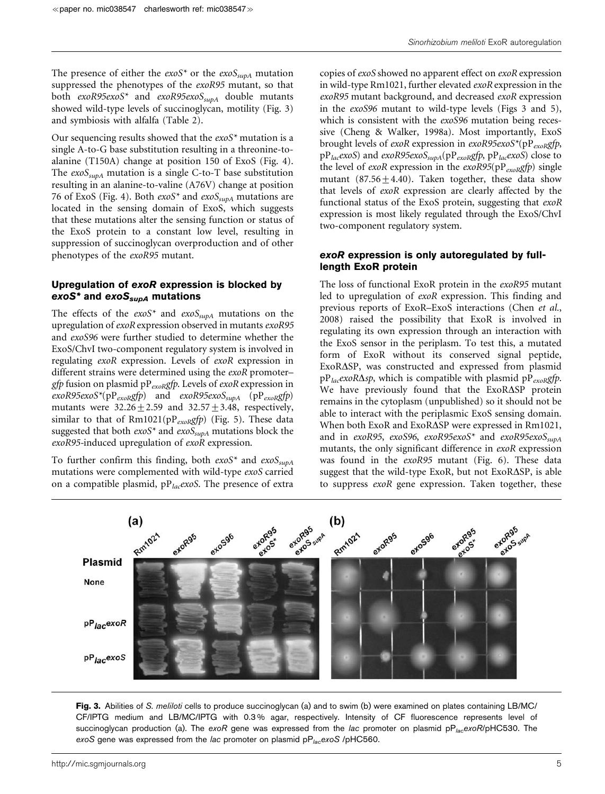Sinorhizobium meliloti ExoR autoregulation

The presence of either the  $exoS^*$  or the  $exoS_{supA}$  mutation suppressed the phenotypes of the exoR95 mutant, so that both  $exoR95exoS^*$  and  $exoR95exoS<sub>subA</sub>$  double mutants showed wild-type levels of succinoglycan, motility (Fig. 3) and symbiosis with alfalfa (Table 2).

Our sequencing results showed that the  $exoS<sup>*</sup>$  mutation is a single A-to-G base substitution resulting in a threonine-toalanine (T150A) change at position 150 of ExoS (Fig. 4). The  $exoS<sub>subA</sub>$  mutation is a single C-to-T base substitution resulting in an alanine-to-valine (A76V) change at position 76 of ExoS (Fig. 4). Both  $exoS^*$  and  $exoS_{supA}$  mutations are located in the sensing domain of ExoS, which suggests that these mutations alter the sensing function or status of the ExoS protein to a constant low level, resulting in suppression of succinoglycan overproduction and of other phenotypes of the exoR95 mutant.

## Upregulation of exoR expression is blocked by exoS<sup>\*</sup> and exoS<sub>supA</sub> mutations

The effects of the  $exoS<sup>*</sup>$  and  $exoS<sub>supA</sub>$  mutations on the upregulation of exoR expression observed in mutants exoR95 and exoS96 were further studied to determine whether the ExoS/ChvI two-component regulatory system is involved in regulating exoR expression. Levels of exoR expression in different strains were determined using the exoR promoter– gfp fusion on plasmid p $P_{exoR}$ gfp. Levels of exoR expression in  $exoR95exoS^*(pP_{exoR}gfp)$  and  $exoR95exoS_{supA}$  (p $P_{exoR}gfp)$ mutants were  $32.26 \pm 2.59$  and  $32.57 \pm 3.48$ , respectively, similar to that of  $Rm1021(pP_{exoR}gfp)$  (Fig. 5). These data suggested that both  $exoS^*$  and  $exoS<sub>supA</sub>$  mutations block the  $exoR95$ -induced upregulation of  $exoR$  expression.

To further confirm this finding, both  $exoS^*$  and  $exoS_{supA}$ mutations were complemented with wild-type exoS carried on a compatible plasmid,  $pP_{lac}$ *exoS*. The presence of extra copies of exoS showed no apparent effect on exoR expression in wild-type Rm1021, further elevated exoR expression in the exoR95 mutant background, and decreased exoR expression in the exoS96 mutant to wild-type levels (Figs 3 and 5), which is consistent with the *exoS96* mutation being recessive (Cheng & Walker, 1998a). Most importantly, ExoS brought levels of exoR expression in exoR95exoS\*(pP<sub>exoRg</sub>fp,  $pP_{lac}$ exoS) and exoR95exoS<sub>supA</sub>( $pP_{exo}$ gfp,  $pP_{lac}$ exoS) close to the level of exoR expression in the exoR95( $pP_{exoR}$ gfp) single mutant  $(87.56 + 4.40)$ . Taken together, these data show that levels of exoR expression are clearly affected by the functional status of the ExoS protein, suggesting that exoR expression is most likely regulated through the ExoS/ChvI two-component regulatory system.

# exoR expression is only autoregulated by fulllength ExoR protein

The loss of functional ExoR protein in the exoR95 mutant led to upregulation of exoR expression. This finding and previous reports of ExoR–ExoS interactions (Chen et al., 2008) raised the possibility that ExoR is involved in regulating its own expression through an interaction with the ExoS sensor in the periplasm. To test this, a mutated form of ExoR without its conserved signal peptide, ExoR $\Delta$ SP, was constructed and expressed from plasmid  $pP_{lac}$ *exoR* $\Delta sp$ , which is compatible with plasmid  $pP_{exoR}$ *gfp*. We have previously found that the ExoRASP protein remains in the cytoplasm (unpublished) so it should not be able to interact with the periplasmic ExoS sensing domain. When both ExoR and ExoR $\Delta$ SP were expressed in Rm1021, and in exoR95, exoS96, exoR95exoS\* and exoR95exoS $_{supA}$ mutants, the only significant difference in exoR expression was found in the exoR95 mutant (Fig. 6). These data suggest that the wild-type ExoR, but not ExoR $\Delta$ SP, is able to suppress exoR gene expression. Taken together, these



Fig. 3. Abilities of S. meliloti cells to produce succinoglycan (a) and to swim (b) were examined on plates containing LB/MC/ CF/IPTG medium and LB/MC/IPTG with 0.3 % agar, respectively. Intensity of CF fluorescence represents level of succinoglycan production (a). The exoR gene was expressed from the lac promoter on plasmid  $pP_{lac}exoR/pHC530$ . The exoS gene was expressed from the lac promoter on plasmid  $pP_{lac}$ exoS /pHC560.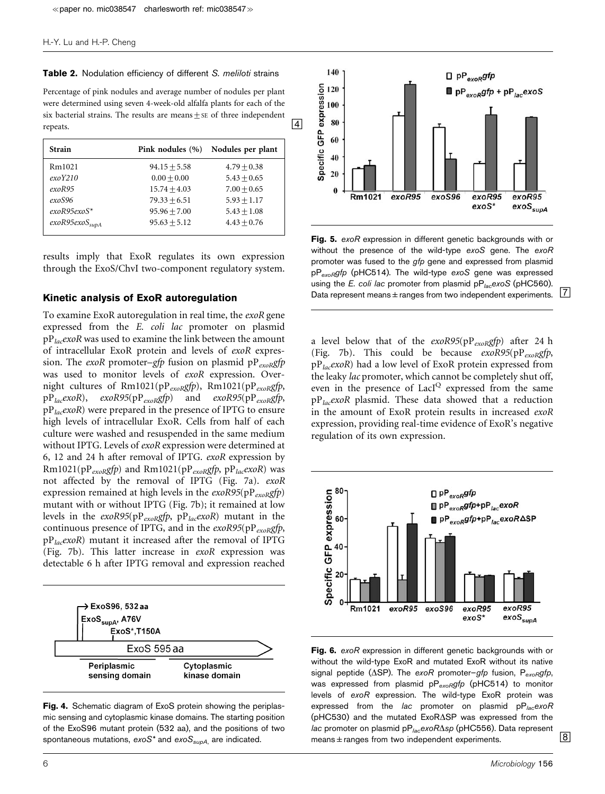#### Table 2. Nodulation efficiency of different S. meliloti strains

Percentage of pink nodules and average number of nodules per plant were determined using seven 4-week-old alfalfa plants for each of the six bacterial strains. The results are means  $\pm$  se of three independent repeats.

| <b>Strain</b>       | Pink nodules (%) | Nodules per plant |
|---------------------|------------------|-------------------|
| Rm1021              | $94.15 + 5.58$   | $4.79 + 0.38$     |
| exoY210             | $0.00 + 0.00$    | $5.43 + 0.65$     |
| exoR95              | $15.74 + 4.03$   | $7.00 + 0.65$     |
| exoS96              | $79.33 + 6.51$   | $5.93 + 1.17$     |
| $exoR95exoS*$       | $95.96 + 7.00$   | $5.43 + 1.08$     |
| $exoR95exoS_{supA}$ | $95.63 + 5.12$   | $4.43 + 0.76$     |

results imply that ExoR regulates its own expression through the ExoS/ChvI two-component regulatory system.

### Kinetic analysis of ExoR autoregulation

To examine ExoR autoregulation in real time, the exoR gene expressed from the E. coli lac promoter on plasmid  $pP_{lac}$ exoR was used to examine the link between the amount of intracellular ExoR protein and levels of exoR expression. The exoR promoter–gfp fusion on plasmid  $pP_{exoR}gfp$ was used to monitor levels of exoR expression. Overnight cultures of Rm1021(pP<sub>exoR</sub>gfp), Rm1021(pP<sub>exoR</sub>gfp,  $pP_{lac}$ exoR), exoR95(p $P_{exo}$ ggfp) and exoR95(p $P_{exo}$ ggfp,  $pP_{lac}$ exoR) were prepared in the presence of IPTG to ensure high levels of intracellular ExoR. Cells from half of each culture were washed and resuspended in the same medium without IPTG. Levels of exoR expression were determined at 6, 12 and 24 h after removal of IPTG. exoR expression by Rm1021(pP<sub>exoR</sub>gfp) and Rm1021(pP<sub>exoR</sub>gfp, pP<sub>lac</sub>exoR) was not affected by the removal of IPTG (Fig. 7a). exoR expression remained at high levels in the  $exoR95(pP_{exoR}gfp)$ mutant with or without IPTG (Fig. 7b); it remained at low levels in the  $exoR95(pP_{exoR}gfp, pp_{lac}exoR)$  mutant in the continuous presence of IPTG, and in the  $exoR95(pP<sub>exoR</sub>gfp,$  $pP_{lac}$ exoR) mutant it increased after the removal of IPTG (Fig. 7b). This latter increase in exoR expression was detectable 6 h after IPTG removal and expression reached



Fig. 4. Schematic diagram of ExoS protein showing the periplasmic sensing and cytoplasmic kinase domains. The starting position of the ExoS96 mutant protein (532 aa), and the positions of two spontaneous mutations,  $e\alpha S^*$  and  $e\alpha S_{supA}$ , are indicated.



Fig. 5. exoR expression in different genetic backgrounds with or without the presence of the wild-type exoS gene. The exoR promoter was fused to the *gfp* gene and expressed from plasmid  $pP_{evB}qfp$  (pHC514). The wild-type exoS gene was expressed using the E. coli lac promoter from plasmid  $pP_{lac}$ exoS (pHC560). Data represent means  $\pm$  ranges from two independent experiments.  $\boxed{7}$ 

a level below that of the  $exoR95(pP_{exoR}gfp)$  after 24 h (Fig. 7b). This could be because  $exoR95(pP_{exoR}gfp,$  $pP_{lac}$ exoR) had a low level of ExoR protein expressed from the leaky lac promoter, which cannot be completely shut off, even in the presence of LacI<sup>Q</sup> expressed from the same pPlacexoR plasmid. These data showed that a reduction in the amount of ExoR protein results in increased exoR expression, providing real-time evidence of ExoR's negative regulation of its own expression.



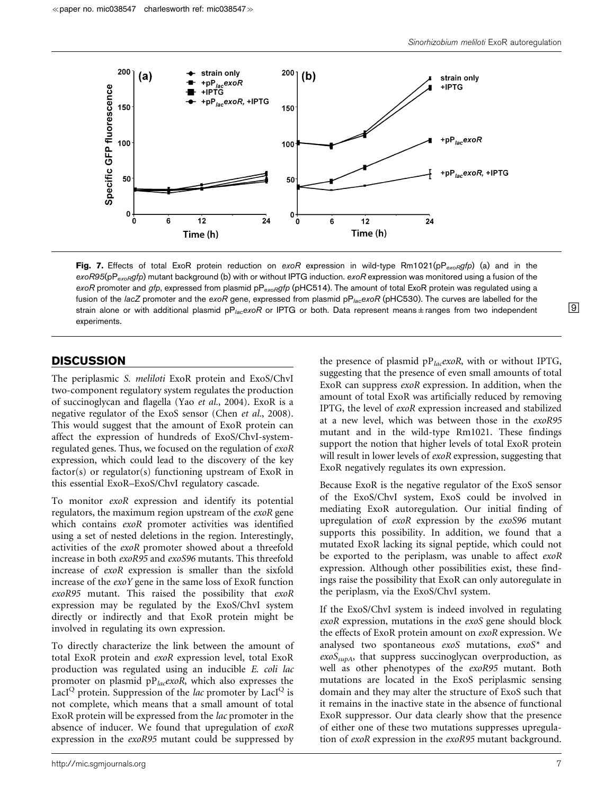

Fig. 7. Effects of total ExoR protein reduction on exoR expression in wild-type Rm1021(pP<sub>exoR</sub>gfp) (a) and in the  $\exp(95(pP_{exoR}gfp)$  mutant background (b) with or without IPTG induction.  $\exp(750)$  rexpression was monitored using a fusion of the exoR promoter and gfp, expressed from plasmid  $pP_{exoR}gfp$  (pHC514). The amount of total ExoR protein was regulated using a fusion of the lacZ promoter and the exoR gene, expressed from plasmid  $pP_{lac}$ exoR (pHC530). The curves are labelled for the strain alone or with additional plasmid pP<sub>lac</sub>exoR or IPTG or both. Data represent means±ranges from two independent <sup>19</sup> experiments.

# **DISCUSSION**

The periplasmic S. meliloti ExoR protein and ExoS/ChvI two-component regulatory system regulates the production of succinoglycan and flagella (Yao et al., 2004). ExoR is a negative regulator of the ExoS sensor (Chen et al., 2008). This would suggest that the amount of ExoR protein can affect the expression of hundreds of ExoS/ChvI-systemregulated genes. Thus, we focused on the regulation of exoR expression, which could lead to the discovery of the key factor(s) or regulator(s) functioning upstream of ExoR in this essential ExoR–ExoS/ChvI regulatory cascade.

To monitor exoR expression and identify its potential regulators, the maximum region upstream of the *exoR* gene which contains exoR promoter activities was identified using a set of nested deletions in the region. Interestingly, activities of the exoR promoter showed about a threefold increase in both exoR95 and exoS96 mutants. This threefold increase of exoR expression is smaller than the sixfold increase of the exoY gene in the same loss of ExoR function exoR95 mutant. This raised the possibility that exoR expression may be regulated by the ExoS/ChvI system directly or indirectly and that ExoR protein might be involved in regulating its own expression.

To directly characterize the link between the amount of total ExoR protein and exoR expression level, total ExoR production was regulated using an inducible E. coli lac promoter on plasmid  $pP_{lac}$ exoR, which also expresses the LacI<sup>Q</sup> protein. Suppression of the *lac* promoter by LacI<sup>Q</sup> is not complete, which means that a small amount of total ExoR protein will be expressed from the lac promoter in the absence of inducer. We found that upregulation of exoR expression in the exoR95 mutant could be suppressed by

the presence of plasmid  $pP_{lac}$ *exoR*, with or without IPTG, suggesting that the presence of even small amounts of total ExoR can suppress exoR expression. In addition, when the amount of total ExoR was artificially reduced by removing IPTG, the level of exoR expression increased and stabilized at a new level, which was between those in the exoR95 mutant and in the wild-type Rm1021. These findings support the notion that higher levels of total ExoR protein will result in lower levels of exoR expression, suggesting that ExoR negatively regulates its own expression.

Because ExoR is the negative regulator of the ExoS sensor of the ExoS/ChvI system, ExoS could be involved in mediating ExoR autoregulation. Our initial finding of upregulation of exoR expression by the exoS96 mutant supports this possibility. In addition, we found that a mutated ExoR lacking its signal peptide, which could not be exported to the periplasm, was unable to affect exoR expression. Although other possibilities exist, these findings raise the possibility that ExoR can only autoregulate in the periplasm, via the ExoS/ChvI system.

If the ExoS/ChvI system is indeed involved in regulating exoR expression, mutations in the exoS gene should block the effects of ExoR protein amount on exoR expression. We analysed two spontaneous exoS mutations, exoS\* and  $exoS<sub>subA</sub>$ , that suppress succinoglycan overproduction, as well as other phenotypes of the exoR95 mutant. Both mutations are located in the ExoS periplasmic sensing domain and they may alter the structure of ExoS such that it remains in the inactive state in the absence of functional ExoR suppressor. Our data clearly show that the presence of either one of these two mutations suppresses upregulation of exoR expression in the exoR95 mutant background.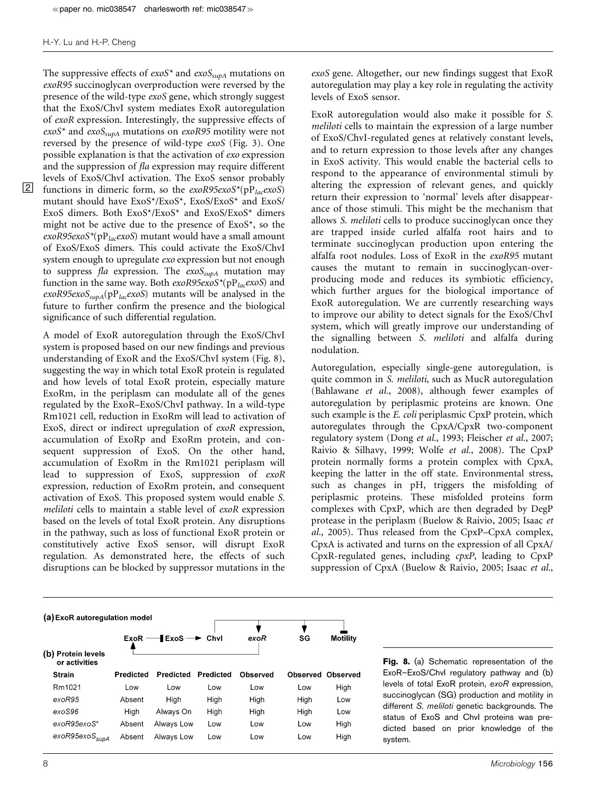The suppressive effects of  $exoS^*$  and  $exoS_{supA}$  mutations on exoR95 succinoglycan overproduction were reversed by the presence of the wild-type exoS gene, which strongly suggest that the ExoS/ChvI system mediates ExoR autoregulation of exoR expression. Interestingly, the suppressive effects of  $exoS<sup>*</sup>$  and  $exoS<sub>supA</sub>$  mutations on  $exoR95$  motility were not reversed by the presence of wild-type exoS (Fig. 3). One possible explanation is that the activation of exo expression and the suppression of fla expression may require different levels of ExoS/ChvI activation. The ExoS sensor probably **2** functions in dimeric form, so the  $exoR95exoS^*(pP)<sub>loc</sub>exoS$ mutant should have ExoS\*/ExoS\*, ExoS/ExoS\* and ExoS/ ExoS dimers. Both ExoS\*/ExoS\* and ExoS/ExoS\* dimers might not be active due to the presence of ExoS\*, so the  $exoR95exoS*(pP<sub>lac</sub>exoS)$  mutant would have a small amount of ExoS/ExoS dimers. This could activate the ExoS/ChvI system enough to upregulate exo expression but not enough to suppress fla expression. The  $exoS_{supA}$  mutation may function in the same way. Both  $exoR95exoS^*(pP_{lac}exoS)$  and  $exoR95exoS<sub>supA</sub>(pP<sub>lac</sub>exoS)$  mutants will be analysed in the future to further confirm the presence and the biological significance of such differential regulation.

A model of ExoR autoregulation through the ExoS/ChvI system is proposed based on our new findings and previous understanding of ExoR and the ExoS/ChvI system (Fig. 8), suggesting the way in which total ExoR protein is regulated and how levels of total ExoR protein, especially mature ExoRm, in the periplasm can modulate all of the genes regulated by the ExoR–ExoS/ChvI pathway. In a wild-type Rm1021 cell, reduction in ExoRm will lead to activation of ExoS, direct or indirect upregulation of exoR expression, accumulation of ExoRp and ExoRm protein, and consequent suppression of ExoS. On the other hand, accumulation of ExoRm in the Rm1021 periplasm will lead to suppression of ExoS, suppression of exoR expression, reduction of ExoRm protein, and consequent activation of ExoS. This proposed system would enable S. meliloti cells to maintain a stable level of exoR expression based on the levels of total ExoR protein. Any disruptions in the pathway, such as loss of functional ExoR protein or constitutively active ExoS sensor, will disrupt ExoR regulation. As demonstrated here, the effects of such disruptions can be blocked by suppressor mutations in the

exoS gene. Altogether, our new findings suggest that ExoR autoregulation may play a key role in regulating the activity levels of ExoS sensor.

ExoR autoregulation would also make it possible for S. meliloti cells to maintain the expression of a large number of ExoS/ChvI-regulated genes at relatively constant levels, and to return expression to those levels after any changes in ExoS activity. This would enable the bacterial cells to respond to the appearance of environmental stimuli by altering the expression of relevant genes, and quickly return their expression to 'normal' levels after disappearance of those stimuli. This might be the mechanism that allows S. meliloti cells to produce succinoglycan once they are trapped inside curled alfalfa root hairs and to terminate succinoglycan production upon entering the alfalfa root nodules. Loss of ExoR in the exoR95 mutant causes the mutant to remain in succinoglycan-overproducing mode and reduces its symbiotic efficiency, which further argues for the biological importance of ExoR autoregulation. We are currently researching ways to improve our ability to detect signals for the ExoS/ChvI system, which will greatly improve our understanding of the signalling between S. meliloti and alfalfa during nodulation.

Autoregulation, especially single-gene autoregulation, is quite common in S. meliloti, such as MucR autoregulation (Bahlawane et al., 2008), although fewer examples of autoregulation by periplasmic proteins are known. One such example is the *E. coli* periplasmic CpxP protein, which autoregulates through the CpxA/CpxR two-component regulatory system (Dong et al., 1993; Fleischer et al., 2007; Raivio & Silhavy, 1999; Wolfe et al., 2008). The CpxP protein normally forms a protein complex with CpxA, keeping the latter in the off state. Environmental stress, such as changes in pH, triggers the misfolding of periplasmic proteins. These misfolded proteins form complexes with CpxP, which are then degraded by DegP protease in the periplasm (Buelow & Raivio, 2005; Isaac et al., 2005). Thus released from the CpxP–CpxA complex, CpxA is activated and turns on the expression of all CpxA/ CpxR-regulated genes, including cpxP, leading to CpxP suppression of CpxA (Buelow & Raivio, 2005; Isaac et al.,

#### (a) ExoR autoregulation model

| <b>Protein levels</b><br>(b)<br>or activities<br><b>Strain</b> | Predicted | $ExoR \longrightarrow ExoS \longrightarrow Chvl$<br>Predicted | Predicted | exoR<br>Observed | SG   | <b>Motility</b><br><b>Observed Observed</b> |
|----------------------------------------------------------------|-----------|---------------------------------------------------------------|-----------|------------------|------|---------------------------------------------|
|                                                                |           |                                                               |           |                  |      |                                             |
| Rm1021                                                         | Low       | Low                                                           | Low       | Low              | Low  | High                                        |
| exoR95                                                         | Absent    | High                                                          | High      | High             | High | Low                                         |
| exoS96                                                         | High      | Always On                                                     | High      | High             | High | Low                                         |
| exoR95exoS*                                                    | Absent    | Always Low                                                    | Low       | Low              | Low  | High                                        |
| exoR95exoS <sub>supA</sub>                                     | Absent    | Always Low                                                    | Low       | Low              | Low  | High                                        |

Fig. 8. (a) Schematic representation of the ExoR–ExoS/ChvI regulatory pathway and (b) levels of total ExoR protein, exoR expression, succinoglycan (SG) production and motility in different S. meliloti genetic backgrounds. The status of ExoS and ChvI proteins was predicted based on prior knowledge of the system.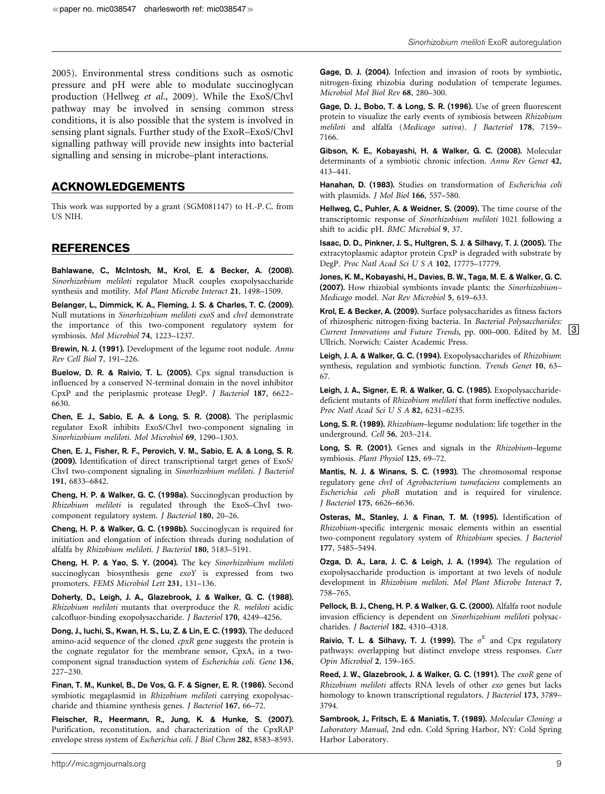2005). Environmental stress conditions such as osmotic pressure and pH were able to modulate succinoglycan production (Hellweg et al., 2009). While the ExoS/ChvI pathway may be involved in sensing common stress conditions, it is also possible that the system is involved in sensing plant signals. Further study of the ExoR–ExoS/ChvI signalling pathway will provide new insights into bacterial signalling and sensing in microbe–plant interactions.

# ACKNOWLEDGEMENTS

This work was supported by a grant (SGM081147) to H.-P. C. from US NIH.

## REFERENCES

Bahlawane, C., McIntosh, M., Krol, E. & Becker, A. (2008). Sinorhizobium meliloti regulator MucR couples exopolysaccharide synthesis and motility. Mol Plant Microbe Interact 21, 1498–1509.

Belanger, L., Dimmick, K. A., Fleming, J. S. & Charles, T. C. (2009). Null mutations in Sinorhizobium meliloti exoS and chvI demonstrate the importance of this two-component regulatory system for symbiosis. Mol Microbiol 74, 1223–1237.

Brewin, N. J. (1991). Development of the legume root nodule. Annu Rev Cell Biol 7, 191–226.

Buelow, D. R. & Raivio, T. L. (2005). Cpx signal transduction is influenced by a conserved N-terminal domain in the novel inhibitor CpxP and the periplasmic protease DegP. J Bacteriol 187, 6622– 6630.

Chen, E. J., Sabio, E. A. & Long, S. R. (2008). The periplasmic regulator ExoR inhibits ExoS/ChvI two-component signaling in Sinorhizobium meliloti. Mol Microbiol 69, 1290–1303.

Chen, E. J., Fisher, R. F., Perovich, V. M., Sabio, E. A. & Long, S. R. (2009). Identification of direct transcriptional target genes of ExoS/ ChvI two-component signaling in Sinorhizobium meliloti. J Bacteriol 191, 6833–6842.

Cheng, H. P. & Walker, G. C. (1998a). Succinoglycan production by Rhizobium meliloti is regulated through the ExoS–ChvI twocomponent regulatory system. J Bacteriol 180, 20–26.

Cheng, H. P. & Walker, G. C. (1998b). Succinoglycan is required for initiation and elongation of infection threads during nodulation of alfalfa by Rhizobium meliloti. J Bacteriol 180, 5183–5191.

Cheng, H. P. & Yao, S. Y. (2004). The key Sinorhizobium meliloti succinoglycan biosynthesis gene exoY is expressed from two promoters. FEMS Microbiol Lett 231, 131–136.

Doherty, D., Leigh, J. A., Glazebrook, J. & Walker, G. C. (1988). Rhizobium meliloti mutants that overproduce the R. meliloti acidic calcofluor-binding exopolysaccharide. J Bacteriol 170, 4249–4256.

Dong, J., Iuchi, S., Kwan, H. S., Lu, Z. & Lin, E. C. (1993). The deduced amino-acid sequence of the cloned cpxR gene suggests the protein is the cognate regulator for the membrane sensor, CpxA, in a twocomponent signal transduction system of Escherichia coli. Gene 136, 227–230.

Finan, T. M., Kunkel, B., De Vos, G. F. & Signer, E. R. (1986). Second symbiotic megaplasmid in Rhizobium meliloti carrying exopolysaccharide and thiamine synthesis genes. J Bacteriol 167, 66–72.

Fleischer, R., Heermann, R., Jung, K. & Hunke, S. (2007). Purification, reconstitution, and characterization of the CpxRAP envelope stress system of Escherichia coli. J Biol Chem 282, 8583–8593. Gage, D. J., Bobo, T. & Long, S. R. (1996). Use of green fluorescent protein to visualize the early events of symbiosis between Rhizobium meliloti and alfalfa (Medicago sativa). J Bacteriol 178, 7159– 7166.

Gibson, K. E., Kobayashi, H. & Walker, G. C. (2008). Molecular determinants of a symbiotic chronic infection. Annu Rev Genet 42, 413–441.

Hanahan, D. (1983). Studies on transformation of Escherichia coli with plasmids. J Mol Biol 166, 557–580.

Hellweg, C., Puhler, A. & Weidner, S. (2009). The time course of the transcriptomic response of Sinorhizobium meliloti 1021 following a shift to acidic pH. BMC Microbiol 9, 37.

Isaac, D. D., Pinkner, J. S., Hultgren, S. J. & Silhavy, T. J. (2005). The extracytoplasmic adaptor protein CpxP is degraded with substrate by DegP. Proc Natl Acad Sci U S A 102, 17775–17779.

Jones, K. M., Kobayashi, H., Davies, B. W., Taga, M. E. & Walker, G. C. (2007). How rhizobial symbionts invade plants: the Sinorhizobium– Medicago model. Nat Rev Microbiol 5, 619–633.

Krol, E. & Becker, A. (2009). Surface polysaccharides as fitness factors of rhizospheric nitrogen-fixing bacteria. In Bacterial Polysaccharides: Current Innovations and Future Trends, pp. 000–000. Edited by M.  $\boxed{3}$ Ullrich. Norwich: Caister Academic Press.

Leigh, J. A. & Walker, G. C. (1994). Exopolysaccharides of Rhizobium: synthesis, regulation and symbiotic function. Trends Genet 10, 63– 67.

Leigh, J. A., Signer, E. R. & Walker, G. C. (1985). Exopolysaccharidedeficient mutants of Rhizobium meliloti that form ineffective nodules. Proc Natl Acad Sci U S A 82, 6231–6235.

Long, S. R. (1989). Rhizobium–legume nodulation: life together in the underground. Cell 56, 203–214.

Long, S. R. (2001). Genes and signals in the Rhizobium–legume symbiosis. Plant Physiol 125, 69–72.

Mantis, N. J. & Winans, S. C. (1993). The chromosomal response regulatory gene chvI of Agrobacterium tumefaciens complements an Escherichia coli phoB mutation and is required for virulence. J Bacteriol 175, 6626–6636.

Osteras, M., Stanley, J. & Finan, T. M. (1995). Identification of Rhizobium-specific intergenic mosaic elements within an essential two-component regulatory system of Rhizobium species. J Bacteriol 177, 5485–5494.

Ozga, D. A., Lara, J. C. & Leigh, J. A. (1994). The regulation of exopolysaccharide production is important at two levels of nodule development in Rhizobium meliloti. Mol Plant Microbe Interact 7, 758–765.

Pellock, B. J., Cheng, H. P. & Walker, G. C. (2000). Alfalfa root nodule invasion efficiency is dependent on Sinorhizobium meliloti polysaccharides. J Bacteriol 182, 4310–4318.

Raivio, T. L. & Silhavy, T. J. (1999). The  $\sigma^E$  and Cpx regulatory pathways: overlapping but distinct envelope stress responses. Curr Opin Microbiol 2, 159–165.

Reed, J. W., Glazebrook, J. & Walker, G. C. (1991). The exoR gene of Rhizobium meliloti affects RNA levels of other exo genes but lacks homology to known transcriptional regulators. J Bacteriol 173, 3789– 3794.

Sambrook, J., Fritsch, E. & Maniatis, T. (1989). Molecular Cloning: a Laboratory Manual, 2nd edn. Cold Spring Harbor, NY: Cold Spring Harbor Laboratory.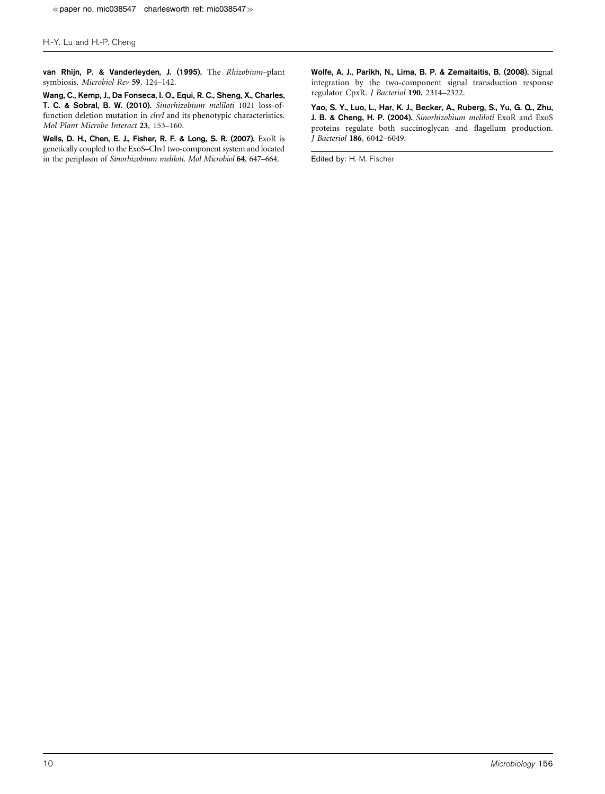van Rhijn, P. & Vanderleyden, J. (1995). The Rhizobium–plant symbiosis. Microbiol Rev 59, 124–142.

Wang, C., Kemp, J., Da Fonseca, I. O., Equi, R. C., Sheng, X., Charles, T. C. & Sobral, B. W. (2010). Sinorhizobium meliloti 1021 loss-offunction deletion mutation in chvI and its phenotypic characteristics. Mol Plant Microbe Interact 23, 153–160.

Wells, D. H., Chen, E. J., Fisher, R. F. & Long, S. R. (2007). ExoR is genetically coupled to the ExoS–ChvI two-component system and located in the periplasm of Sinorhizobium meliloti. Mol Microbiol 64, 647–664.

Wolfe, A. J., Parikh, N., Lima, B. P. & Zemaitaitis, B. (2008). Signal integration by the two-component signal transduction response regulator CpxR. J Bacteriol 190, 2314–2322.

Yao, S. Y., Luo, L., Har, K. J., Becker, A., Ruberg, S., Yu, G. Q., Zhu, J. B. & Cheng, H. P. (2004). Sinorhizobium meliloti ExoR and ExoS proteins regulate both succinoglycan and flagellum production. J Bacteriol 186, 6042–6049.

Edited by: H.-M. Fischer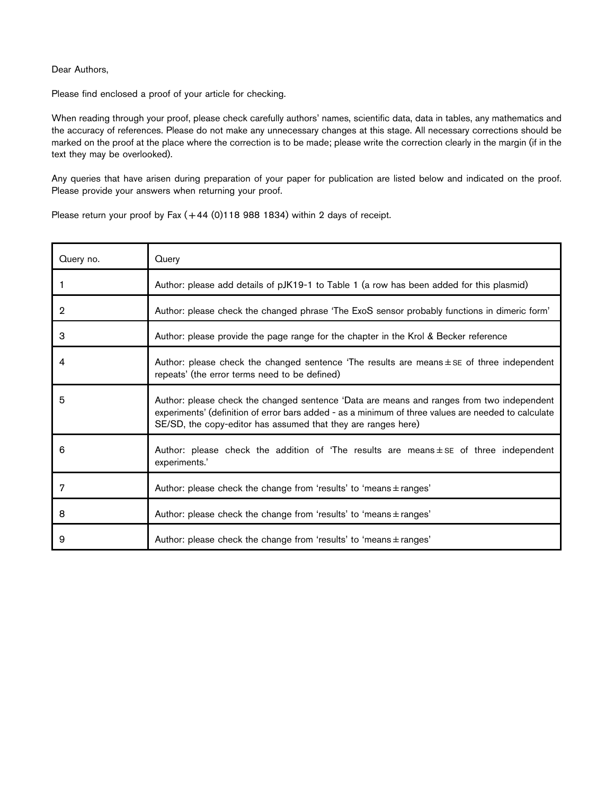## Dear Authors,

Please find enclosed a proof of your article for checking.

When reading through your proof, please check carefully authors' names, scientific data, data in tables, any mathematics and the accuracy of references. Please do not make any unnecessary changes at this stage. All necessary corrections should be marked on the proof at the place where the correction is to be made; please write the correction clearly in the margin (if in the text they may be overlooked).

Any queries that have arisen during preparation of your paper for publication are listed below and indicated on the proof. Please provide your answers when returning your proof.

Please return your proof by Fax  $(+44 (0)118 988 1834)$  within 2 days of receipt.

| Query no.      | Query                                                                                                                                                                                                                                                             |
|----------------|-------------------------------------------------------------------------------------------------------------------------------------------------------------------------------------------------------------------------------------------------------------------|
| 1              | Author: please add details of pJK19-1 to Table 1 (a row has been added for this plasmid)                                                                                                                                                                          |
| $\overline{2}$ | Author: please check the changed phrase 'The ExoS sensor probably functions in dimeric form'                                                                                                                                                                      |
| 3              | Author: please provide the page range for the chapter in the Krol & Becker reference                                                                                                                                                                              |
| 4              | Author: please check the changed sentence 'The results are means $\pm$ SE of three independent<br>repeats' (the error terms need to be defined)                                                                                                                   |
| 5              | Author: please check the changed sentence 'Data are means and ranges from two independent<br>experiments' (definition of error bars added - as a minimum of three values are needed to calculate<br>SE/SD, the copy-editor has assumed that they are ranges here) |
| 6              | Author: please check the addition of 'The results are means $\pm$ se of three independent<br>experiments.'                                                                                                                                                        |
| 7              | Author: please check the change from 'results' to 'means $\pm$ ranges'                                                                                                                                                                                            |
| 8              | Author: please check the change from 'results' to 'means $\pm$ ranges'                                                                                                                                                                                            |
| 9              | Author: please check the change from 'results' to 'means $\pm$ ranges'                                                                                                                                                                                            |